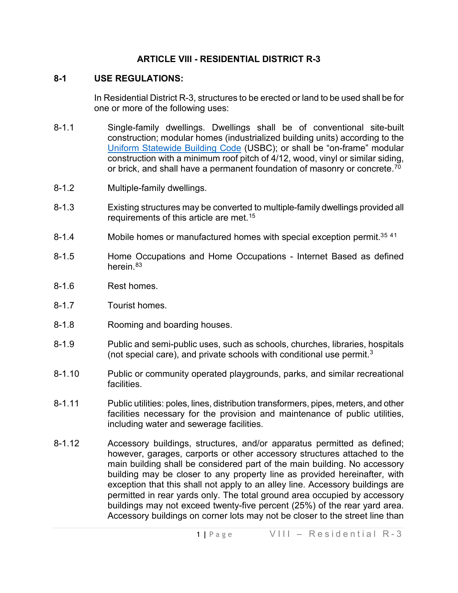### **ARTICLE VIII - RESIDENTIAL DISTRICT R-3**

### **8-1 USE REGULATIONS:**

In Residential District R-3, structures to be erected or land to be used shall be for one or more of the following uses:

- 8-1.1 Single-family dwellings. Dwellings shall be of conventional site-built construction; modular homes (industrialized building units) according to the [Uniform Statewide Building Code](https://law.lis.virginia.gov/vacode/title36/chapter6/) (USBC); or shall be "on-frame" modular construction with a minimum roof pitch of 4/12, wood, vinyl or similar siding, or brick, and shall have a permanent foundation of masonry or concrete.<sup>70</sup>
- 8-1.2 Multiple-family dwellings.
- 8-1.3 Existing structures may be converted to multiple-family dwellings provided all requirements of this article are met.<sup>[15](#page-6-1)</sup>
- 8-1.4 Mobile homes or manufactured homes with special exception permit.<sup>3[5](#page-6-2) 4[1](#page-6-3)</sup>
- 8-1.5 Home Occupations and Home Occupations Internet Based as defined herein.<sup>[83](#page-6-4)</sup>
- 8-1.6 Rest homes.
- 8-1.7 Tourist homes.
- 8-1.8 Rooming and boarding houses.
- 8-1.9 Public and semi-public uses, such as schools, churches, libraries, hospitals (not special care), and private schools with conditional use permit.[3](#page-6-5)
- 8-1.10 Public or community operated playgrounds, parks, and similar recreational facilities.
- 8-1.11 Public utilities: poles, lines, distribution transformers, pipes, meters, and other facilities necessary for the provision and maintenance of public utilities, including water and sewerage facilities.
- 8-1.12 Accessory buildings, structures, and/or apparatus permitted as defined; however, garages, carports or other accessory structures attached to the main building shall be considered part of the main building. No accessory building may be closer to any property line as provided hereinafter, with exception that this shall not apply to an alley line. Accessory buildings are permitted in rear yards only. The total ground area occupied by accessory buildings may not exceed twenty-five percent (25%) of the rear yard area. Accessory buildings on corner lots may not be closer to the street line than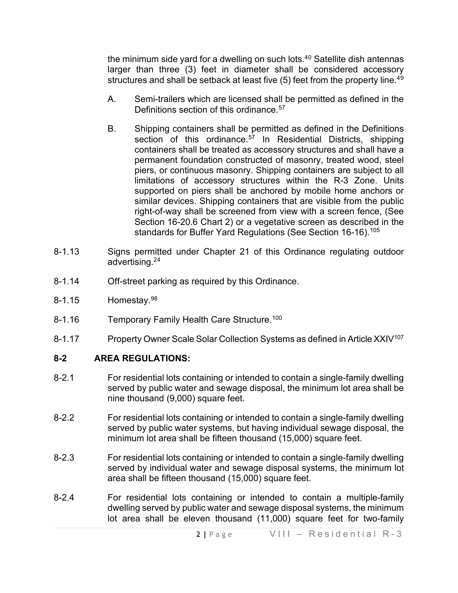the minimum side yard for a dwelling on such lots. $40$  $40$  Satellite dish antennas larger than three (3) feet in diameter shall be considered accessory structures and shall be setback at least five  $(5)$  feet from the property line.<sup>[49](#page-6-7)</sup>

- A. Semi-trailers which are licensed shall be permitted as defined in the Definitions section of this ordinance.<sup>[57](#page-6-8)</sup>
- B. Shipping containers shall be permitted as defined in the Definitions section of this ordinance.<sup>[57](#page-6-9)</sup> In Residential Districts, shipping containers shall be treated as accessory structures and shall have a permanent foundation constructed of masonry, treated wood, steel piers, or continuous masonry. Shipping containers are subject to all limitations of accessory structures within the R-3 Zone. Units supported on piers shall be anchored by mobile home anchors or similar devices. Shipping containers that are visible from the public right-of-way shall be screened from view with a screen fence, (See Section 16-20.6 Chart 2) or a vegetative screen as described in the standards for Buffer Yard Regulations (See Section 16-16).<sup>[105](#page-6-10)</sup>
- 8-1.13 Signs permitted under Chapter 21 of this Ordinance regulating outdoor advertising.2[4](#page-6-11)
- 8-1.14 Off-street parking as required by this Ordinance.
- 8-1.15 Homestay.[98](#page-6-12)
- 8-1.16 Temporary Family Health Care Structure.<sup>[100](#page-6-13)</sup>
- 8-1.17 Property Owner Scale Solar Collection Systems as defined in Article XXIV<sup>[107](#page-6-14)</sup>

### **8-2 AREA REGULATIONS:**

- 8-2.1 For residential lots containing or intended to contain a single-family dwelling served by public water and sewage disposal, the minimum lot area shall be nine thousand (9,000) square feet.
- 8-2.2 For residential lots containing or intended to contain a single-family dwelling served by public water systems, but having individual sewage disposal, the minimum lot area shall be fifteen thousand (15,000) square feet.
- 8-2.3 For residential lots containing or intended to contain a single-family dwelling served by individual water and sewage disposal systems, the minimum lot area shall be fifteen thousand (15,000) square feet.
- 8-2.4 For residential lots containing or intended to contain a multiple-family dwelling served by public water and sewage disposal systems, the minimum lot area shall be eleven thousand (11,000) square feet for two-family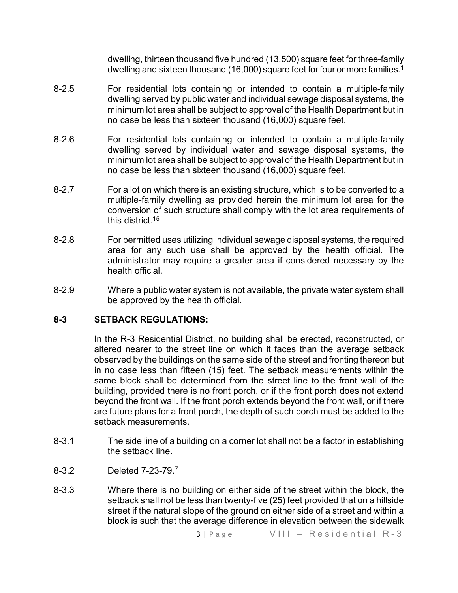dwelling, thirteen thousand five hundred (13,500) square feet for three-family dwelling and sixteen thousand ([1](#page-6-15)6,000) square feet for four or more families.<sup>1</sup>

- 8-2.5 For residential lots containing or intended to contain a multiple-family dwelling served by public water and individual sewage disposal systems, the minimum lot area shall be subject to approval of the Health Department but in no case be less than sixteen thousand (16,000) square feet.
- 8-2.6 For residential lots containing or intended to contain a multiple-family dwelling served by individual water and sewage disposal systems, the minimum lot area shall be subject to approval of the Health Department but in no case be less than sixteen thousand (16,000) square feet.
- 8-2.7 For a lot on which there is an existing structure, which is to be converted to a multiple-family dwelling as provided herein the minimum lot area for the conversion of such structure shall comply with the lot area requirements of this district.1[5](#page-6-16)
- 8-2.8 For permitted uses utilizing individual sewage disposal systems, the required area for any such use shall be approved by the health official. The administrator may require a greater area if considered necessary by the health official.
- 8-2.9 Where a public water system is not available, the private water system shall be approved by the health official.

### **8-3 SETBACK REGULATIONS:**

In the R-3 Residential District, no building shall be erected, reconstructed, or altered nearer to the street line on which it faces than the average setback observed by the buildings on the same side of the street and fronting thereon but in no case less than fifteen (15) feet. The setback measurements within the same block shall be determined from the street line to the front wall of the building, provided there is no front porch, or if the front porch does not extend beyond the front wall. If the front porch extends beyond the front wall, or if there are future plans for a front porch, the depth of such porch must be added to the setback measurements.

- 8-3.1 The side line of a building on a corner lot shall not be a factor in establishing the setback line.
- 8-3.2 Deleted 7-23-79.[7](#page-6-17)
- 8-3.3 Where there is no building on either side of the street within the block, the setback shall not be less than twenty-five (25) feet provided that on a hillside street if the natural slope of the ground on either side of a street and within a block is such that the average difference in elevation between the sidewalk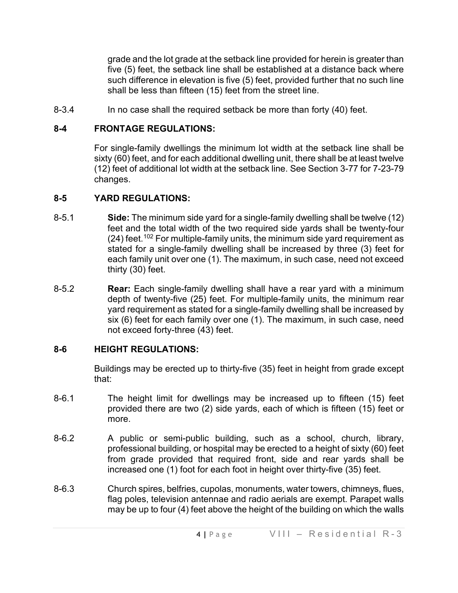grade and the lot grade at the setback line provided for herein is greater than five (5) feet, the setback line shall be established at a distance back where such difference in elevation is five (5) feet, provided further that no such line shall be less than fifteen (15) feet from the street line.

8-3.4 In no case shall the required setback be more than forty (40) feet.

# **8-4 FRONTAGE REGULATIONS:**

For single-family dwellings the minimum lot width at the setback line shall be sixty (60) feet, and for each additional dwelling unit, there shall be at least twelve (12) feet of additional lot width at the setback line. See Section 3-77 for 7-23-79 changes.

# **8-5 YARD REGULATIONS:**

- 8-5.1 **Side:** The minimum side yard for a single-family dwelling shall be twelve (12) feet and the total width of the two required side yards shall be twenty-four (24) feet. [102](#page-6-18) For multiple-family units, the minimum side yard requirement as stated for a single-family dwelling shall be increased by three (3) feet for each family unit over one (1). The maximum, in such case, need not exceed thirty (30) feet.
- 8-5.2 **Rear:** Each single-family dwelling shall have a rear yard with a minimum depth of twenty-five (25) feet. For multiple-family units, the minimum rear yard requirement as stated for a single-family dwelling shall be increased by six (6) feet for each family over one (1). The maximum, in such case, need not exceed forty-three (43) feet.

# **8-6 HEIGHT REGULATIONS:**

Buildings may be erected up to thirty-five (35) feet in height from grade except that:

- 8-6.1 The height limit for dwellings may be increased up to fifteen (15) feet provided there are two (2) side yards, each of which is fifteen (15) feet or more.
- 8-6.2 A public or semi-public building, such as a school, church, library, professional building, or hospital may be erected to a height of sixty (60) feet from grade provided that required front, side and rear yards shall be increased one (1) foot for each foot in height over thirty-five (35) feet.
- 8-6.3 Church spires, belfries, cupolas, monuments, water towers, chimneys, flues, flag poles, television antennae and radio aerials are exempt. Parapet walls may be up to four (4) feet above the height of the building on which the walls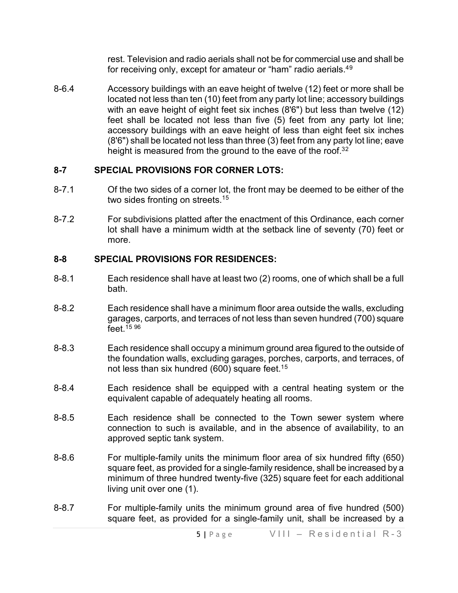rest. Television and radio aerials shall not be for commercial use and shall be for receiving only, except for amateur or "ham" radio aerials.4[9](#page-6-19)

8-6.4 Accessory buildings with an eave height of twelve (12) feet or more shall be located not less than ten (10) feet from any party lot line; accessory buildings with an eave height of eight feet six inches (8'6") but less than twelve (12) feet shall be located not less than five (5) feet from any party lot line; accessory buildings with an eave height of less than eight feet six inches (8'6") shall be located not less than three (3) feet from any party lot line; eave height is measured from the ground to the eave of the roof.<sup>3[2](#page-6-20)</sup>

## **8-7 SPECIAL PROVISIONS FOR CORNER LOTS:**

- 8-7.1 Of the two sides of a corner lot, the front may be deemed to be either of the two sides fronting on streets.<sup>1[5](#page-6-21)</sup>
- 8-7.2 For subdivisions platted after the enactment of this Ordinance, each corner lot shall have a minimum width at the setback line of seventy (70) feet or more.

## **8-8 SPECIAL PROVISIONS FOR RESIDENCES:**

- 8-8.1 Each residence shall have at least two (2) rooms, one of which shall be a full bath.
- 8-8.2 Each residence shall have a minimum floor area outside the walls, excluding garages, carports, and terraces of not less than seven hundred (700) square feet  $1596$  $1596$  $1596$
- 8-8.3 Each residence shall occupy a minimum ground area figured to the outside of the foundation walls, excluding garages, porches, carports, and terraces, of not less than six hundred (600) square feet.<sup>1[5](#page-6-24)</sup>
- 8-8.4 Each residence shall be equipped with a central heating system or the equivalent capable of adequately heating all rooms.
- 8-8.5 Each residence shall be connected to the Town sewer system where connection to such is available, and in the absence of availability, to an approved septic tank system.
- 8-8.6 For multiple-family units the minimum floor area of six hundred fifty (650) square feet, as provided for a single-family residence, shall be increased by a minimum of three hundred twenty-five (325) square feet for each additional living unit over one (1).
- 8-8.7 For multiple-family units the minimum ground area of five hundred (500) square feet, as provided for a single-family unit, shall be increased by a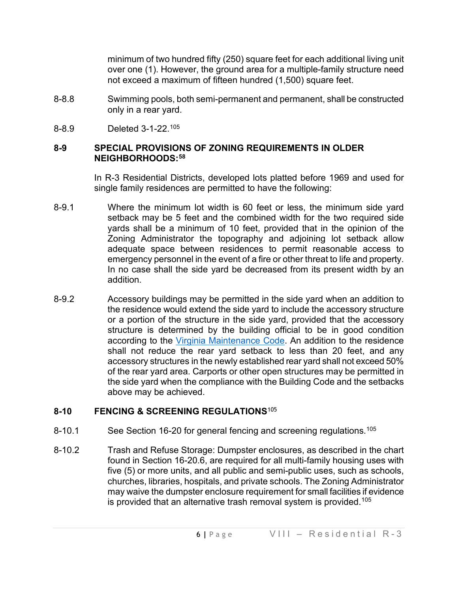minimum of two hundred fifty (250) square feet for each additional living unit over one (1). However, the ground area for a multiple-family structure need not exceed a maximum of fifteen hundred (1,500) square feet.

- 8-8.8 Swimming pools, both semi-permanent and permanent, shall be constructed only in a rear yard.
- 8-8.9 Deleted 3-1-22. [105](#page-6-25)

## **8-9 SPECIAL PROVISIONS OF ZONING REQUIREMENTS IN OLDER NEIGHBORHOODS:[58](#page-6-26)**

In R-3 Residential Districts, developed lots platted before 1969 and used for single family residences are permitted to have the following:

- 8-9.1 Where the minimum lot width is 60 feet or less, the minimum side yard setback may be 5 feet and the combined width for the two required side yards shall be a minimum of 10 feet, provided that in the opinion of the Zoning Administrator the topography and adjoining lot setback allow adequate space between residences to permit reasonable access to emergency personnel in the event of a fire or other threat to life and property. In no case shall the side yard be decreased from its present width by an addition.
- 8-9.2 Accessory buildings may be permitted in the side yard when an addition to the residence would extend the side yard to include the accessory structure or a portion of the structure in the side yard, provided that the accessory structure is determined by the building official to be in good condition according to the [Virginia Maintenance Code.](https://law.lis.virginia.gov/admincodefull/title13/agency5/chapter63/partIII/) An addition to the residence shall not reduce the rear yard setback to less than 20 feet, and any accessory structures in the newly established rear yard shall not exceed 50% of the rear yard area. Carports or other open structures may be permitted in the side yard when the compliance with the Building Code and the setbacks above may be achieved.

## **8-10 FENCING & SCREENING REGULATIONS**[105](#page-6-27)

- 8-10.1 See Section 16-20 for general fencing and screening regulations.<sup>[105](#page-6-28)</sup>
- 8-10.2 Trash and Refuse Storage: Dumpster enclosures, as described in the chart found in Section 16-20.6, are required for all multi-family housing uses with five (5) or more units, and all public and semi-public uses, such as schools, churches, libraries, hospitals, and private schools. The Zoning Administrator may waive the dumpster enclosure requirement for small facilities if evidence is provided that an alternative trash removal system is provided.<sup>[105](#page-6-29)</sup>